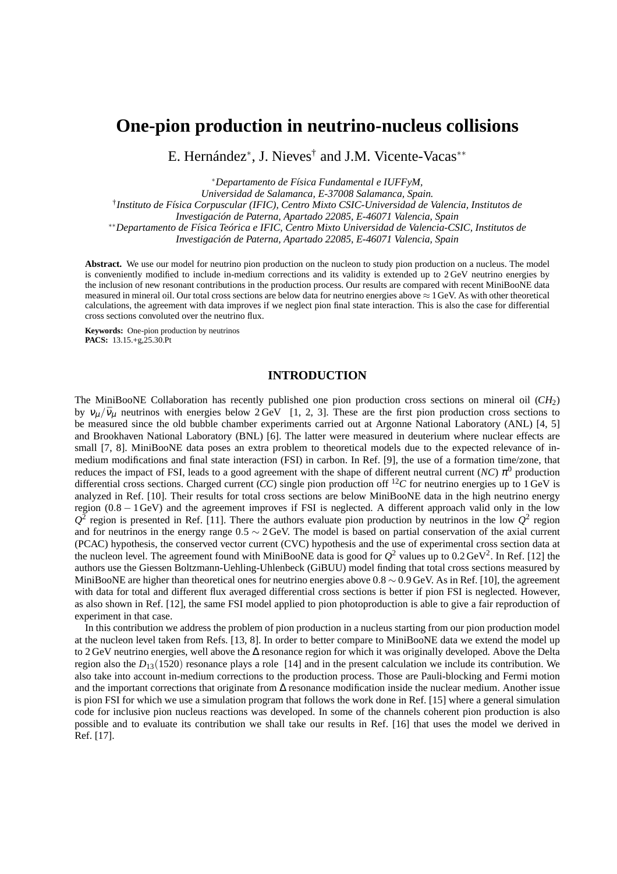# **One-pion production in neutrino-nucleus collisions**

E. Hernández<sup>∗</sup> , J. Nieves† and J.M. Vicente-Vacas∗∗

∗*Departamento de Física Fundamental e IUFFyM,*

*Universidad de Salamanca, E-37008 Salamanca, Spain.*

† *Instituto de Física Corpuscular (IFIC), Centro Mixto CSIC-Universidad de Valencia, Institutos de*

*Investigación de Paterna, Apartado 22085, E-46071 Valencia, Spain*

∗∗*Departamento de Física Teórica e IFIC, Centro Mixto Universidad de Valencia-CSIC, Institutos de*

*Investigación de Paterna, Apartado 22085, E-46071 Valencia, Spain*

**Abstract.** We use our model for neutrino pion production on the nucleon to study pion production on a nucleus. The model is conveniently modified to include in-medium corrections and its validity is extended up to 2 GeV neutrino energies by the inclusion of new resonant contributions in the production process. Our results are compared with recent MiniBooNE data measured in mineral oil. Our total cross sections are below data for neutrino energies above  $\approx 1$  GeV. As with other theoretical calculations, the agreement with data improves if we neglect pion final state interaction. This is also the case for differential cross sections convoluted over the neutrino flux.

**Keywords:** One-pion production by neutrinos **PACS:** 13.15.+g,25.30.Pt

## **INTRODUCTION**

The MiniBooNE Collaboration has recently published one pion production cross sections on mineral oil (*CH*2) by  $v_{\mu}/\bar{v}_{\mu}$  neutrinos with energies below 2 GeV [1, 2, 3]. These are the first pion production cross sections to be measured since the old bubble chamber experiments carried out at Argonne National Laboratory (ANL) [4, 5] and Brookhaven National Laboratory (BNL) [6]. The latter were measured in deuterium where nuclear effects are small [7, 8]. MiniBooNE data poses an extra problem to theoretical models due to the expected relevance of inmedium modifications and final state interaction (FSI) in carbon. In Ref. [9], the use of a formation time/zone, that reduces the impact of FSI, leads to a good agreement with the shape of different neutral current (*NC*)  $\pi^0$  production differential cross sections. Charged current (*CC*) single pion production off <sup>12</sup>*C* for neutrino energies up to 1 GeV is analyzed in Ref. [10]. Their results for total cross sections are below MiniBooNE data in the high neutrino energy region (0.8 − 1GeV) and the agreement improves if FSI is neglected. A different approach valid only in the low  $Q^2$  region is presented in Ref. [11]. There the authors evaluate pion production by neutrinos in the low  $Q^2$  region and for neutrinos in the energy range 0.5 ∼ 2 GeV. The model is based on partial conservation of the axial current (PCAC) hypothesis, the conserved vector current (CVC) hypothesis and the use of experimental cross section data at the nucleon level. The agreement found with MiniBooNE data is good for  $Q^2$  values up to 0.2 GeV<sup>2</sup>. In Ref. [12] the authors use the Giessen Boltzmann-Uehling-Uhlenbeck (GiBUU) model finding that total cross sections measured by MiniBooNE are higher than theoretical ones for neutrino energies above  $0.8 \sim 0.9$  GeV. As in Ref. [10], the agreement with data for total and different flux averaged differential cross sections is better if pion FSI is neglected. However, as also shown in Ref. [12], the same FSI model applied to pion photoproduction is able to give a fair reproduction of experiment in that case.

In this contribution we address the problem of pion production in a nucleus starting from our pion production model at the nucleon level taken from Refs. [13, 8]. In order to better compare to MiniBooNE data we extend the model up to 2 GeV neutrino energies, well above the ∆ resonance region for which it was originally developed. Above the Delta region also the  $D_{13}(1520)$  resonance plays a role [14] and in the present calculation we include its contribution. We also take into account in-medium corrections to the production process. Those are Pauli-blocking and Fermi motion and the important corrections that originate from ∆ resonance modification inside the nuclear medium. Another issue is pion FSI for which we use a simulation program that follows the work done in Ref. [15] where a general simulation code for inclusive pion nucleus reactions was developed. In some of the channels coherent pion production is also possible and to evaluate its contribution we shall take our results in Ref. [16] that uses the model we derived in Ref. [17].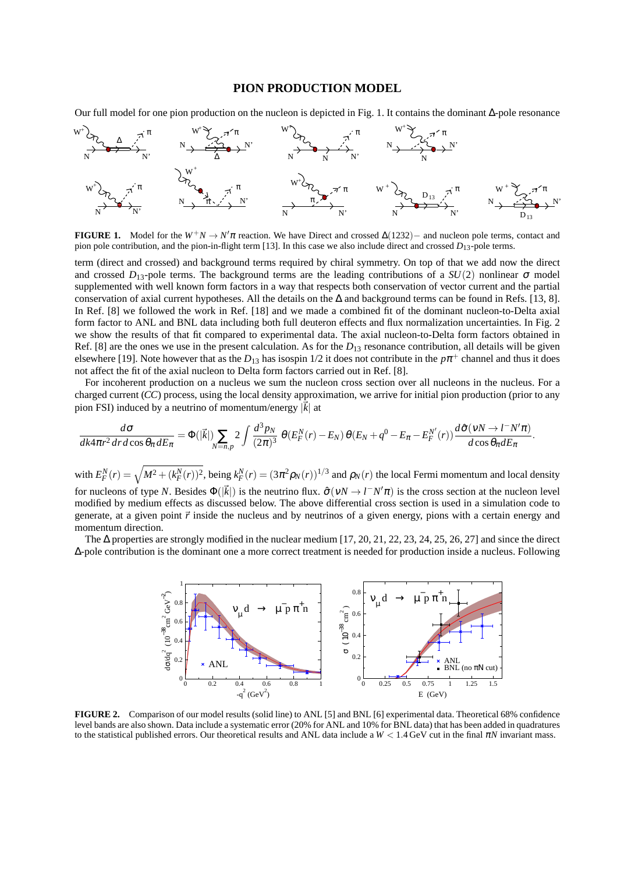## **PION PRODUCTION MODEL**

Our full model for one pion production on the nucleon is depicted in Fig. 1. It contains the dominant ∆-pole resonance



**FIGURE 1.** Model for the  $W^+N \to N'\pi$  reaction. We have Direct and crossed  $\Delta(1232)$ − and nucleon pole terms, contact and pion pole contribution, and the pion-in-flight term [13]. In this case we also include direct and crossed  $D_{13}$ -pole terms.

term (direct and crossed) and background terms required by chiral symmetry. On top of that we add now the direct and crossed  $D_{13}$ -pole terms. The background terms are the leading contributions of a  $SU(2)$  nonlinear  $\sigma$  model supplemented with well known form factors in a way that respects both conservation of vector current and the partial conservation of axial current hypotheses. All the details on the ∆ and background terms can be found in Refs. [13, 8]. In Ref. [8] we followed the work in Ref. [18] and we made a combined fit of the dominant nucleon-to-Delta axial form factor to ANL and BNL data including both full deuteron effects and flux normalization uncertainties. In Fig. 2 we show the results of that fit compared to experimental data. The axial nucleon-to-Delta form factors obtained in Ref. [8] are the ones we use in the present calculation. As for the  $D_{13}$  resonance contribution, all details will be given elsewhere [19]. Note however that as the  $D_{13}$  has isospin 1/2 it does not contribute in the  $p\pi^+$  channel and thus it does not affect the fit of the axial nucleon to Delta form factors carried out in Ref. [8].

For incoherent production on a nucleus we sum the nucleon cross section over all nucleons in the nucleus. For a charged current (*CC*) process, using the local density approximation, we arrive for initial pion production (prior to any pion FSI) induced by a neutrino of momentum/energy  $|\vec{k}|$  at

$$
\frac{d\sigma}{dk4\pi r^2 dr d\cos\theta_\pi dE_\pi} = \Phi(|\vec{k}|) \sum_{N=n,p} 2 \int \frac{d^3p_N}{(2\pi)^3} \ \theta(E_F^N(r) - E_N) \ \theta(E_N + q^0 - E_\pi - E_F^{N'}(r)) \frac{d\hat{\sigma}(v_N \to l^-N'\pi)}{d\cos\theta_\pi dE_\pi}.
$$

with  $E_F^N(r) = \sqrt{M^2 + (k_F^N(r))^2}$ , being  $k_F^N(r) = (3\pi^2 \rho_N(r))^{1/3}$  and  $\rho_N(r)$  the local Fermi momentum and local density for nucleons of type *N*. Besides  $\Phi(|\vec{k}|)$  is the neutrino flux.  $\hat{\sigma}(vN \to l^-N'\pi)$  is the cross section at the nucleon level modified by medium effects as discussed below. The above differential cross section is used in a simulation code to generate, at a given point  $\vec{r}$  inside the nucleus and by neutrinos of a given energy, pions with a certain energy and momentum direction.

The  $\Delta$  properties are strongly modified in the nuclear medium [17, 20, 21, 22, 23, 24, 25, 26, 27] and since the direct ∆-pole contribution is the dominant one a more correct treatment is needed for production inside a nucleus. Following



**FIGURE 2.** Comparison of our model results (solid line) to ANL [5] and BNL [6] experimental data. Theoretical 68% confidence level bands are also shown. Data include a systematic error (20% for ANL and 10% for BNL data) that has been added in quadratures to the statistical published errors. Our theoretical results and ANL data include a  $W < 1.4$  GeV cut in the final  $\pi N$  invariant mass.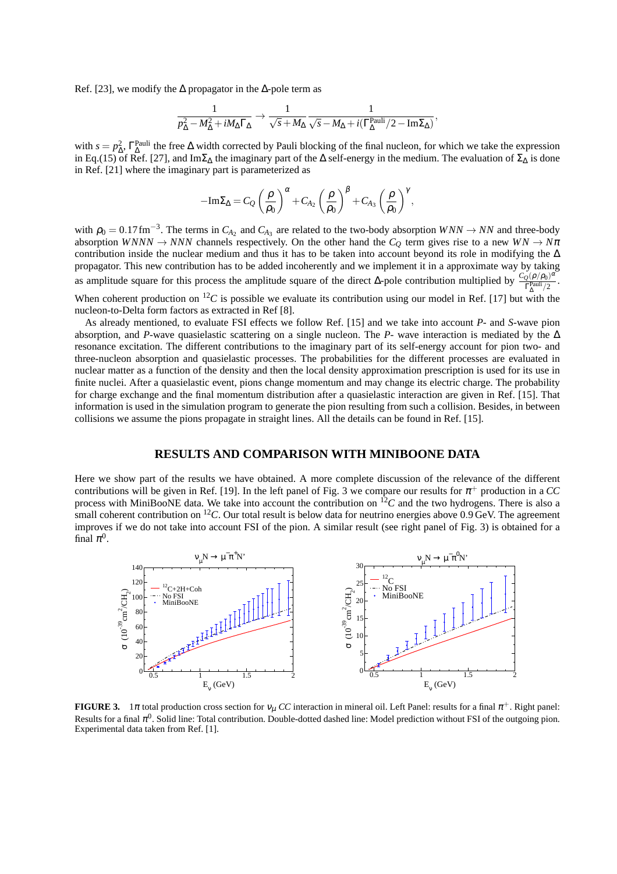Ref. [23], we modify the  $\Delta$  propagator in the  $\Delta$ -pole term as

$$
\frac{1}{p_\Delta^2 - M_\Delta^2 + i M_\Delta \Gamma_\Delta} \rightarrow \frac{1}{\sqrt{s} + M_\Delta} \frac{1}{\sqrt{s} - M_\Delta + i(\Gamma_\Delta^{\rm Pauli}/2 - {\rm Im} \Sigma_\Delta)},
$$

with  $s = p_{\Delta}^2$ ,  $\Gamma_{\Delta}^{\text{Pauli}}$  the free  $\Delta$  width corrected by Pauli blocking of the final nucleon, for which we take the expression in Eq.(15) of Ref. [27], and Im $\Sigma_{\Delta}$  the imaginary part of the  $\Delta$  self-energy in the medium. The evaluation of  $\Sigma_{\Delta}$  is done in Ref. [21] where the imaginary part is parameterized as

$$
-\mathrm{Im}\Sigma_{\Delta}=C_{Q}\left(\frac{\rho}{\rho_{0}}\right)^{\alpha}+C_{A_{2}}\left(\frac{\rho}{\rho_{0}}\right)^{\beta}+C_{A_{3}}\left(\frac{\rho}{\rho_{0}}\right)^{\gamma},
$$

with  $\rho_0 = 0.17$  fm<sup>-3</sup>. The terms in  $C_{A_2}$  and  $C_{A_3}$  are related to the two-body absorption  $WNN \rightarrow NN$  and three-body absorption *WNNN*  $\rightarrow$  *NNN* channels respectively. On the other hand the  $C_Q$  term gives rise to a new  $WN \rightarrow N\pi$ contribution inside the nuclear medium and thus it has to be taken into account beyond its role in modifying the ∆ propagator. This new contribution has to be added incoherently and we implement it in a approximate way by taking as amplitude square for this process the amplitude square of the direct  $\Delta$ -pole contribution multiplied by  $\frac{C_Q(\rho/\rho_0)^{\alpha}}{\Gamma_{\text{Pauli}}^2/2}$  $\Gamma_{\Delta}^{\text{Pauli}}/2$ .

When coherent production on  ${}^{12}C$  is possible we evaluate its contribution using our model in Ref. [17] but with the nucleon-to-Delta form factors as extracted in Ref [8].

As already mentioned, to evaluate FSI effects we follow Ref. [15] and we take into account *P*- and *S*-wave pion absorption, and *P*-wave quasielastic scattering on a single nucleon. The *P*- wave interaction is mediated by the ∆ resonance excitation. The different contributions to the imaginary part of its self-energy account for pion two- and three-nucleon absorption and quasielastic processes. The probabilities for the different processes are evaluated in nuclear matter as a function of the density and then the local density approximation prescription is used for its use in finite nuclei. After a quasielastic event, pions change momentum and may change its electric charge. The probability for charge exchange and the final momentum distribution after a quasielastic interaction are given in Ref. [15]. That information is used in the simulation program to generate the pion resulting from such a collision. Besides, in between collisions we assume the pions propagate in straight lines. All the details can be found in Ref. [15].

#### **RESULTS AND COMPARISON WITH MINIBOONE DATA**

Here we show part of the results we have obtained. A more complete discussion of the relevance of the different contributions will be given in Ref. [19]. In the left panel of Fig. 3 we compare our results for  $\pi^+$  production in a CC process with MiniBooNE data. We take into account the contribution on  ${}^{12}C$  and the two hydrogens. There is also a small coherent contribution on  ${}^{12}C$ . Our total result is below data for neutrino energies above 0.9 GeV. The agreement improves if we do not take into account FSI of the pion. A similar result (see right panel of Fig. 3) is obtained for a final  $\pi^0$ .



**FIGURE 3.** 1 $\pi$  total production cross section for  $v_\mu$  CC interaction in mineral oil. Left Panel: results for a final  $\pi^+$ . Right panel: Results for a final  $\pi^0$ . Solid line: Total contribution. Double-dotted dashed line: Model prediction without FSI of the outgoing pion. Experimental data taken from Ref. [1].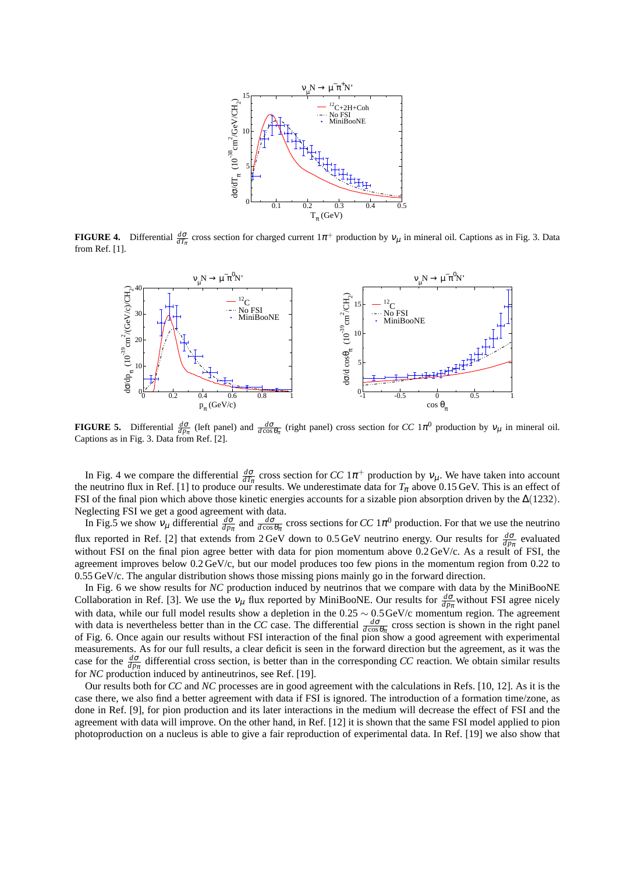

**FIGURE 4.** Differential  $\frac{d\sigma}{dT_{\pi}}$  cross section for charged current  $1\pi^+$  production by  $v_{\mu}$  in mineral oil. Captions as in Fig. 3. Data from Ref. [1].



**FIGURE 5.** Differential  $\frac{d\sigma}{dp_{\pi}}$  (left panel) and  $\frac{d\sigma}{d\cos\theta_{\pi}}$  (right panel) cross section for *CC* 1 $\pi^0$  production by  $v_{\mu}$  in mineral oil. Captions as in Fig. 3. Data from Ref. [2].

In Fig. 4 we compare the differential  $\frac{d\sigma}{dT_{\pi}}$  cross section for *CC* 1 $\pi^+$  production by  $v_{\mu}$ . We have taken into account the neutrino flux in Ref. [1] to produce our results. We underestimate data for  $T_\pi$  above 0.15 GeV. This is an effect of FSI of the final pion which above those kinetic energies accounts for a sizable pion absorption driven by the ∆(1232). Neglecting FSI we get a good agreement with data.

In Fig.5 we show  $v_\mu$  differential  $\frac{d\sigma}{dp_\pi}$  and  $\frac{d\sigma}{d\cos\theta_\pi}$  cross sections for *CC* 1 $\pi^0$  production. For that we use the neutrino flux reported in Ref. [2] that extends from 2 GeV down to 0.5 GeV neutrino energy. Our results for  $\frac{d\sigma}{dp_\pi}$  evaluated without FSI on the final pion agree better with data for pion momentum above  $0.2 \text{ GeV/c}$ . As a result of FSI, the agreement improves below 0.2 GeV/c, but our model produces too few pions in the momentum region from 0.22 to 0.55 GeV/c. The angular distribution shows those missing pions mainly go in the forward direction.

In Fig. 6 we show results for *NC* production induced by neutrinos that we compare with data by the MiniBooNE Collaboration in Ref. [3]. We use the  $v_\mu$  flux reported by MiniBooNE. Our results for  $\frac{d\sigma}{dp_\pi}$  without FSI agree nicely with data, while our full model results show a depletion in the  $0.25 \sim 0.5$  GeV/c momentum region. The agreement with data is nevertheless better than in the *CC* case. The differential  $\frac{d\sigma}{d\cos\theta_\pi}$  cross section is shown in the right panel of Fig. 6. Once again our results without FSI interaction of the final pion show a good agreement with experimental measurements. As for our full results, a clear deficit is seen in the forward direction but the agreement, as it was the case for the  $\frac{d\sigma}{dp_\pi}$  differential cross section, is better than in the corresponding *CC* reaction. We obtain similar results for *NC* production induced by antineutrinos, see Ref. [19].

Our results both for *CC* and *NC* processes are in good agreement with the calculations in Refs. [10, 12]. As it is the case there, we also find a better agreement with data if FSI is ignored. The introduction of a formation time/zone, as done in Ref. [9], for pion production and its later interactions in the medium will decrease the effect of FSI and the agreement with data will improve. On the other hand, in Ref. [12] it is shown that the same FSI model applied to pion photoproduction on a nucleus is able to give a fair reproduction of experimental data. In Ref. [19] we also show that